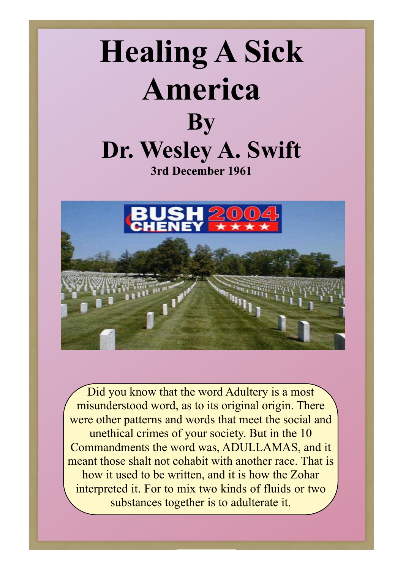



Did you know that the word Adultery is a most misunderstood word, as to its original origin. There were other patterns and words that meet the social and unethical crimes of your society. But in the 10 Commandments the word was, ADULLAMAS, and it meant those shalt not cohabit with another race. That is how it used to be written, and it is how the Zohar interpreted it. For to mix two kinds of fluids or two substances together is to adulterate it.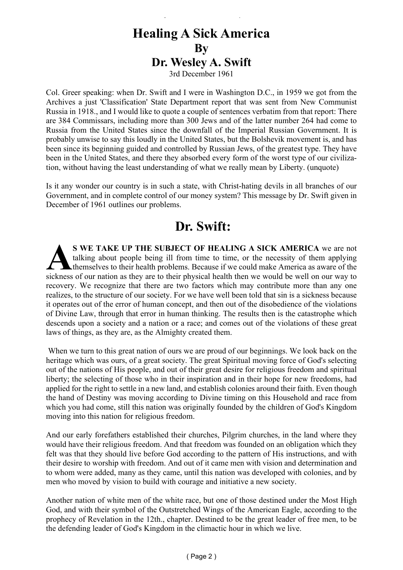#### **Healing A Sick America By Dr. Wesley A. Swift** 3rd December 1961

Healing a Sick America - Wesley Swift

Col. Greer speaking: when Dr. Swift and I were in Washington D.C., in 1959 we got from the Archives a just 'Classification' State Department report that was sent from New Communist Russia in 1918., and I would like to quote a couple of sentences verbatim from that report: There are 384 Commissars, including more than 300 Jews and of the latter number 264 had come to Russia from the United States since the downfall of the Imperial Russian Government. It is probably unwise to say this loudly in the United States, but the Bolshevik movement is, and has been since its beginning guided and controlled by Russian Jews, of the greatest type. They have been in the United States, and there they absorbed every form of the worst type of our civilization, without having the least understanding of what we really mean by Liberty. (unquote)

Is it any wonder our country is in such a state, with Christ-hating devils in all branches of our Government, and in complete control of our money system? This message by Dr. Swift given in December of 1961 outlines our problems.

#### **Dr. Swift:**

S WE TAKE UP THE SUBJECT OF HEALING A SICK AMERICA we are not talking about people being ill from time to time, or the necessity of them applying themselves to their health problems. Because if we could make America as awa **S WE TAKE UP THE SUBJECT OF HEALING A SICK AMERICA** we are not talking about people being ill from time to time, or the necessity of them applying themselves to their health problems. Because if we could make America as aware of the recovery. We recognize that there are two factors which may contribute more than any one realizes, to the structure of our society. For we have well been told that sin is a sickness because it operates out of the error of human concept, and then out of the disobedience of the violations of Divine Law, through that error in human thinking. The results then is the catastrophe which descends upon a society and a nation or a race; and comes out of the violations of these great laws of things, as they are, as the Almighty created them.

 When we turn to this great nation of ours we are proud of our beginnings. We look back on the heritage which was ours, of a great society. The great Spiritual moving force of God's selecting out of the nations of His people, and out of their great desire for religious freedom and spiritual liberty; the selecting of those who in their inspiration and in their hope for new freedoms, had applied for the right to settle in a new land, and establish colonies around their faith. Even though the hand of Destiny was moving according to Divine timing on this Household and race from which you had come, still this nation was originally founded by the children of God's Kingdom moving into this nation for religious freedom.

And our early forefathers established their churches, Pilgrim churches, in the land where they would have their religious freedom. And that freedom was founded on an obligation which they felt was that they should live before God according to the pattern of His instructions, and with their desire to worship with freedom. And out of it came men with vision and determination and to whom were added, many as they came, until this nation was developed with colonies, and by men who moved by vision to build with courage and initiative a new society.

Another nation of white men of the white race, but one of those destined under the Most High God, and with their symbol of the Outstretched Wings of the American Eagle, according to the prophecy of Revelation in the 12th., chapter. Destined to be the great leader of free men, to be the defending leader of God's Kingdom in the climactic hour in which we live.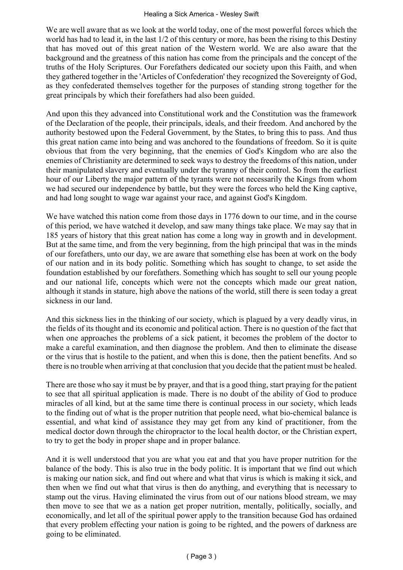We are well aware that as we look at the world today, one of the most powerful forces which the world has had to lead it, in the last 1/2 of this century or more, has been the rising to this Destiny that has moved out of this great nation of the Western world. We are also aware that the background and the greatness of this nation has come from the principals and the concept of the truths of the Holy Scriptures. Our Forefathers dedicated our society upon this Faith, and when they gathered together in the 'Articles of Confederation' they recognized the Sovereignty of God, as they confederated themselves together for the purposes of standing strong together for the great principals by which their forefathers had also been guided.

And upon this they advanced into Constitutional work and the Constitution was the framework of the Declaration of the people, their principals, ideals, and their freedom. And anchored by the authority bestowed upon the Federal Government, by the States, to bring this to pass. And thus this great nation came into being and was anchored to the foundations of freedom. So it is quite obvious that from the very beginning, that the enemies of God's Kingdom who are also the enemies of Christianity are determined to seek ways to destroy the freedoms of this nation, under their manipulated slavery and eventually under the tyranny of their control. So from the earliest hour of our Liberty the major pattern of the tyrants were not necessarily the Kings from whom we had secured our independence by battle, but they were the forces who held the King captive, and had long sought to wage war against your race, and against God's Kingdom.

We have watched this nation come from those days in 1776 down to our time, and in the course of this period, we have watched it develop, and saw many things take place. We may say that in 185 years of history that this great nation has come a long way in growth and in development. But at the same time, and from the very beginning, from the high principal that was in the minds of our forefathers, unto our day, we are aware that something else has been at work on the body of our nation and in its body politic. Something which has sought to change, to set aside the foundation established by our forefathers. Something which has sought to sell our young people and our national life, concepts which were not the concepts which made our great nation, although it stands in stature, high above the nations of the world, still there is seen today a great sickness in our land.

And this sickness lies in the thinking of our society, which is plagued by a very deadly virus, in the fields of its thought and its economic and political action. There is no question of the fact that when one approaches the problems of a sick patient, it becomes the problem of the doctor to make a careful examination, and then diagnose the problem. And then to eliminate the disease or the virus that is hostile to the patient, and when this is done, then the patient benefits. And so there is no trouble when arriving at that conclusion that you decide that the patient must be healed.

There are those who say it must be by prayer, and that is a good thing, start praying for the patient to see that all spiritual application is made. There is no doubt of the ability of God to produce miracles of all kind, but at the same time there is continual process in our society, which leads to the finding out of what is the proper nutrition that people need, what bio‑chemical balance is essential, and what kind of assistance they may get from any kind of practitioner, from the medical doctor down through the chiropractor to the local health doctor, or the Christian expert, to try to get the body in proper shape and in proper balance.

And it is well understood that you are what you eat and that you have proper nutrition for the balance of the body. This is also true in the body politic. It is important that we find out which is making our nation sick, and find out where and what that virus is which is making it sick, and then when we find out what that virus is then do anything, and everything that is necessary to stamp out the virus. Having eliminated the virus from out of our nations blood stream, we may then move to see that we as a nation get proper nutrition, mentally, politically, socially, and economically, and let all of the spiritual power apply to the transition because God has ordained that every problem effecting your nation is going to be righted, and the powers of darkness are going to be eliminated.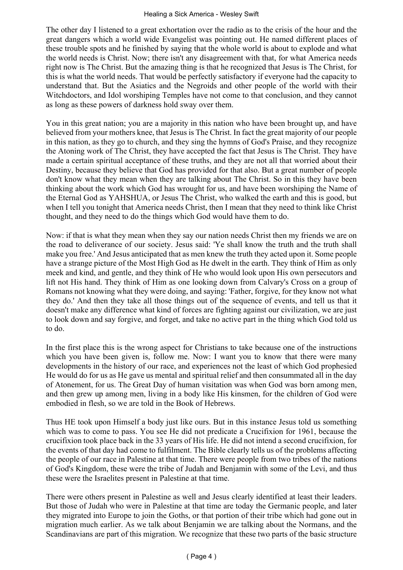The other day I listened to a great exhortation over the radio as to the crisis of the hour and the great dangers which a world wide Evangelist was pointing out. He named different places of these trouble spots and he finished by saying that the whole world is about to explode and what the world needs is Christ. Now; there isn't any disagreement with that, for what America needs right now is The Christ. But the amazing thing is that he recognized that Jesus is The Christ, for this is what the world needs. That would be perfectly satisfactory if everyone had the capacity to understand that. But the Asiatics and the Negroids and other people of the world with their Witchdoctors, and Idol worshiping Temples have not come to that conclusion, and they cannot as long as these powers of darkness hold sway over them.

You in this great nation; you are a majority in this nation who have been brought up, and have believed from your mothers knee, that Jesus is The Christ. In fact the great majority of our people in this nation, as they go to church, and they sing the hymns of God's Praise, and they recognize the Atoning work of The Christ, they have accepted the fact that Jesus is The Christ. They have made a certain spiritual acceptance of these truths, and they are not all that worried about their Destiny, because they believe that God has provided for that also. But a great number of people don't know what they mean when they are talking about The Christ. So in this they have been thinking about the work which God has wrought for us, and have been worshiping the Name of the Eternal God as YAHSHUA, or Jesus The Christ, who walked the earth and this is good, but when I tell you tonight that America needs Christ, then I mean that they need to think like Christ thought, and they need to do the things which God would have them to do.

Now: if that is what they mean when they say our nation needs Christ then my friends we are on the road to deliverance of our society. Jesus said: 'Ye shall know the truth and the truth shall make you free.' And Jesus anticipated that as men knew the truth they acted upon it. Some people have a strange picture of the Most High God as He dwelt in the earth. They think of Him as only meek and kind, and gentle, and they think of He who would look upon His own persecutors and lift not His hand. They think of Him as one looking down from Calvary's Cross on a group of Romans not knowing what they were doing, and saying: 'Father, forgive, for they know not what they do.' And then they take all those things out of the sequence of events, and tell us that it doesn't make any difference what kind of forces are fighting against our civilization, we are just to look down and say forgive, and forget, and take no active part in the thing which God told us to do.

In the first place this is the wrong aspect for Christians to take because one of the instructions which you have been given is, follow me. Now: I want you to know that there were many developments in the history of our race, and experiences not the least of which God prophesied He would do for us as He gave us mental and spiritual relief and then consummated all in the day of Atonement, for us. The Great Day of human visitation was when God was born among men, and then grew up among men, living in a body like His kinsmen, for the children of God were embodied in flesh, so we are told in the Book of Hebrews.

Thus HE took upon Himself a body just like ours. But in this instance Jesus told us something which was to come to pass. You see He did not predicate a Crucifixion for 1961, because the crucifixion took place back in the 33 years of His life. He did not intend a second crucifixion, for the events of that day had come to fulfilment. The Bible clearly tells us of the problems affecting the people of our race in Palestine at that time. There were people from two tribes of the nations of God's Kingdom, these were the tribe of Judah and Benjamin with some of the Levi, and thus these were the Israelites present in Palestine at that time.

There were others present in Palestine as well and Jesus clearly identified at least their leaders. But those of Judah who were in Palestine at that time are today the Germanic people, and later they migrated into Europe to join the Goths, or that portion of their tribe which had gone out in migration much earlier. As we talk about Benjamin we are talking about the Normans, and the Scandinavians are part of this migration. We recognize that these two parts of the basic structure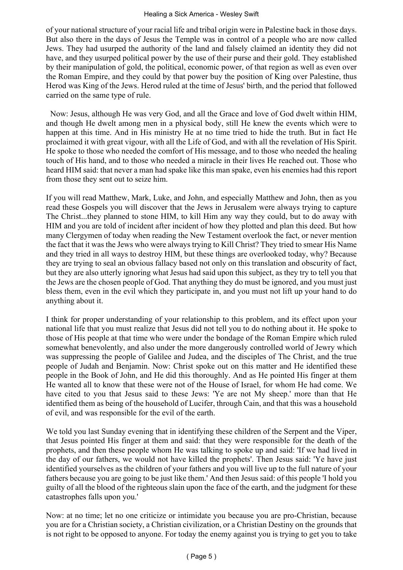#### Healing a Sick America - Wesley Swift

of your national structure of your racial life and tribal origin were in Palestine back in those days. But also there in the days of Jesus the Temple was in control of a people who are now called Jews. They had usurped the authority of the land and falsely claimed an identity they did not have, and they usurped political power by the use of their purse and their gold. They established by their manipulation of gold, the political, economic power, of that region as well as even over the Roman Empire, and they could by that power buy the position of King over Palestine, thus Herod was King of the Jews. Herod ruled at the time of Jesus' birth, and the period that followed carried on the same type of rule.

 Now: Jesus, although He was very God, and all the Grace and love of God dwelt within HIM, and though He dwelt among men in a physical body, still He knew the events which were to happen at this time. And in His ministry He at no time tried to hide the truth. But in fact He proclaimed it with great vigour, with all the Life of God, and with all the revelation of His Spirit. He spoke to those who needed the comfort of His message, and to those who needed the healing touch of His hand, and to those who needed a miracle in their lives He reached out. Those who heard HIM said: that never a man had spake like this man spake, even his enemies had this report from those they sent out to seize him.

If you will read Matthew, Mark, Luke, and John, and especially Matthew and John, then as you read these Gospels you will discover that the Jews in Jerusalem were always trying to capture The Christ...they planned to stone HIM, to kill Him any way they could, but to do away with HIM and you are told of incident after incident of how they plotted and plan this deed. But how many Clergymen of today when reading the New Testament overlook the fact, or never mention the fact that it was the Jews who were always trying to Kill Christ? They tried to smear His Name and they tried in all ways to destroy HIM, but these things are overlooked today, why? Because they are trying to seal an obvious fallacy based not only on this translation and obscurity of fact, but they are also utterly ignoring what Jesus had said upon this subject, as they try to tell you that the Jews are the chosen people of God. That anything they do must be ignored, and you must just bless them, even in the evil which they participate in, and you must not lift up your hand to do anything about it.

I think for proper understanding of your relationship to this problem, and its effect upon your national life that you must realize that Jesus did not tell you to do nothing about it. He spoke to those of His people at that time who were under the bondage of the Roman Empire which ruled somewhat benevolently, and also under the more dangerously controlled world of Jewry which was suppressing the people of Galilee and Judea, and the disciples of The Christ, and the true people of Judah and Benjamin. Now: Christ spoke out on this matter and He identified these people in the Book of John, and He did this thoroughly. And as He pointed His finger at them He wanted all to know that these were not of the House of Israel, for whom He had come. We have cited to you that Jesus said to these Jews: 'Ye are not My sheep.' more than that He identified them as being of the household of Lucifer, through Cain, and that this was a household of evil, and was responsible for the evil of the earth.

We told you last Sunday evening that in identifying these children of the Serpent and the Viper, that Jesus pointed His finger at them and said: that they were responsible for the death of the prophets, and then these people whom He was talking to spoke up and said: 'If we had lived in the day of our fathers, we would not have killed the prophets'. Then Jesus said: 'Ye have just identified yourselves as the children of your fathers and you will live up to the full nature of your fathers because you are going to be just like them.' And then Jesus said: of this people 'I hold you guilty of all the blood of the righteous slain upon the face of the earth, and the judgment for these catastrophes falls upon you.'

Now: at no time; let no one criticize or intimidate you because you are pro‑Christian, because you are for a Christian society, a Christian civilization, or a Christian Destiny on the grounds that is not right to be opposed to anyone. For today the enemy against you is trying to get you to take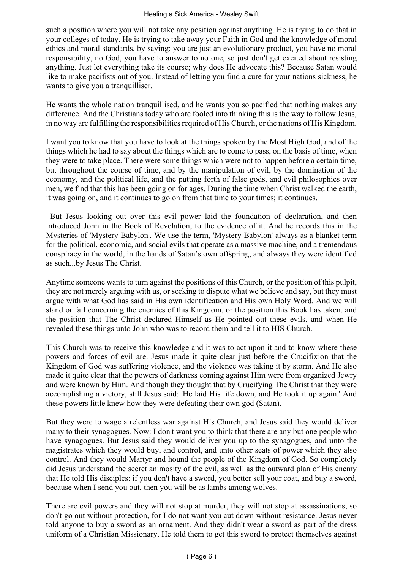such a position where you will not take any position against anything. He is trying to do that in your colleges of today. He is trying to take away your Faith in God and the knowledge of moral ethics and moral standards, by saying: you are just an evolutionary product, you have no moral responsibility, no God, you have to answer to no one, so just don't get excited about resisting anything. Just let everything take its course; why does He advocate this? Because Satan would like to make pacifists out of you. Instead of letting you find a cure for your nations sickness, he wants to give you a tranquilliser.

He wants the whole nation tranquillised, and he wants you so pacified that nothing makes any difference. And the Christians today who are fooled into thinking this is the way to follow Jesus, in no way are fulfilling the responsibilities required of His Church, or the nations of His Kingdom.

I want you to know that you have to look at the things spoken by the Most High God, and of the things which he had to say about the things which are to come to pass, on the basis of time, when they were to take place. There were some things which were not to happen before a certain time, but throughout the course of time, and by the manipulation of evil, by the domination of the economy, and the political life, and the putting forth of false gods, and evil philosophies over men, we find that this has been going on for ages. During the time when Christ walked the earth, it was going on, and it continues to go on from that time to your times; it continues.

 But Jesus looking out over this evil power laid the foundation of declaration, and then introduced John in the Book of Revelation, to the evidence of it. And he records this in the Mysteries of 'Mystery Babylon'. We use the term, 'Mystery Babylon' always as a blanket term for the political, economic, and social evils that operate as a massive machine, and a tremendous conspiracy in the world, in the hands of Satan's own offspring, and always they were identified as such...by Jesus The Christ.

Anytime someone wants to turn against the positions of this Church, or the position of this pulpit, they are not merely arguing with us, or seeking to dispute what we believe and say, but they must argue with what God has said in His own identification and His own Holy Word. And we will stand or fall concerning the enemies of this Kingdom, or the position this Book has taken, and the position that The Christ declared Himself as He pointed out these evils, and when He revealed these things unto John who was to record them and tell it to HIS Church.

This Church was to receive this knowledge and it was to act upon it and to know where these powers and forces of evil are. Jesus made it quite clear just before the Crucifixion that the Kingdom of God was suffering violence, and the violence was taking it by storm. And He also made it quite clear that the powers of darkness coming against Him were from organized Jewry and were known by Him. And though they thought that by Crucifying The Christ that they were accomplishing a victory, still Jesus said: 'He laid His life down, and He took it up again.' And these powers little knew how they were defeating their own god (Satan).

But they were to wage a relentless war against His Church, and Jesus said they would deliver many to their synagogues. Now: I don't want you to think that there are any but one people who have synagogues. But Jesus said they would deliver you up to the synagogues, and unto the magistrates which they would buy, and control, and unto other seats of power which they also control. And they would Martyr and hound the people of the Kingdom of God. So completely did Jesus understand the secret animosity of the evil, as well as the outward plan of His enemy that He told His disciples: if you don't have a sword, you better sell your coat, and buy a sword, because when I send you out, then you will be as lambs among wolves.

There are evil powers and they will not stop at murder, they will not stop at assassinations, so don't go out without protection, for I do not want you cut down without resistance. Jesus never told anyone to buy a sword as an ornament. And they didn't wear a sword as part of the dress uniform of a Christian Missionary. He told them to get this sword to protect themselves against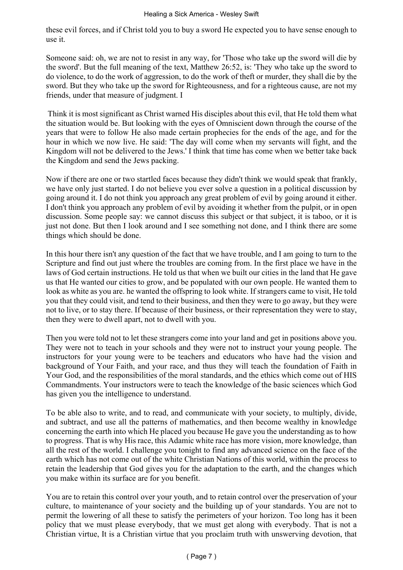these evil forces, and if Christ told you to buy a sword He expected you to have sense enough to use it.

Someone said: oh, we are not to resist in any way, for 'Those who take up the sword will die by the sword'. But the full meaning of the text, Matthew 26:52, is: 'They who take up the sword to do violence, to do the work of aggression, to do the work of theft or murder, they shall die by the sword. But they who take up the sword for Righteousness, and for a righteous cause, are not my friends, under that measure of judgment. I

 Think it is most significant as Christ warned His disciples about this evil, that He told them what the situation would be. But looking with the eyes of Omniscient down through the course of the years that were to follow He also made certain prophecies for the ends of the age, and for the hour in which we now live. He said: 'The day will come when my servants will fight, and the Kingdom will not be delivered to the Jews.' I think that time has come when we better take back the Kingdom and send the Jews packing.

Now if there are one or two startled faces because they didn't think we would speak that frankly, we have only just started. I do not believe you ever solve a question in a political discussion by going around it. I do not think you approach any great problem of evil by going around it either. I don't think you approach any problem of evil by avoiding it whether from the pulpit, or in open discussion. Some people say: we cannot discuss this subject or that subject, it is taboo, or it is just not done. But then I look around and I see something not done, and I think there are some things which should be done.

In this hour there isn't any question of the fact that we have trouble, and I am going to turn to the Scripture and find out just where the troubles are coming from. In the first place we have in the laws of God certain instructions. He told us that when we built our cities in the land that He gave us that He wanted our cities to grow, and be populated with our own people. He wanted them to look as white as you are. he wanted the offspring to look white. If strangers came to visit, He told you that they could visit, and tend to their business, and then they were to go away, but they were not to live, or to stay there. If because of their business, or their representation they were to stay, then they were to dwell apart, not to dwell with you.

Then you were told not to let these strangers come into your land and get in positions above you. They were not to teach in your schools and they were not to instruct your young people. The instructors for your young were to be teachers and educators who have had the vision and background of Your Faith, and your race, and thus they will teach the foundation of Faith in Your God, and the responsibilities of the moral standards, and the ethics which come out of HIS Commandments. Your instructors were to teach the knowledge of the basic sciences which God has given you the intelligence to understand.

To be able also to write, and to read, and communicate with your society, to multiply, divide, and subtract, and use all the patterns of mathematics, and then become wealthy in knowledge concerning the earth into which He placed you because He gave you the understanding as to how to progress. That is why His race, this Adamic white race has more vision, more knowledge, than all the rest of the world. I challenge you tonight to find any advanced science on the face of the earth which has not come out of the white Christian Nations of this world, within the process to retain the leadership that God gives you for the adaptation to the earth, and the changes which you make within its surface are for you benefit.

You are to retain this control over your youth, and to retain control over the preservation of your culture, to maintenance of your society and the building up of your standards. You are not to permit the lowering of all these to satisfy the perimeters of your horizon. Too long has it been policy that we must please everybody, that we must get along with everybody. That is not a Christian virtue, It is a Christian virtue that you proclaim truth with unswerving devotion, that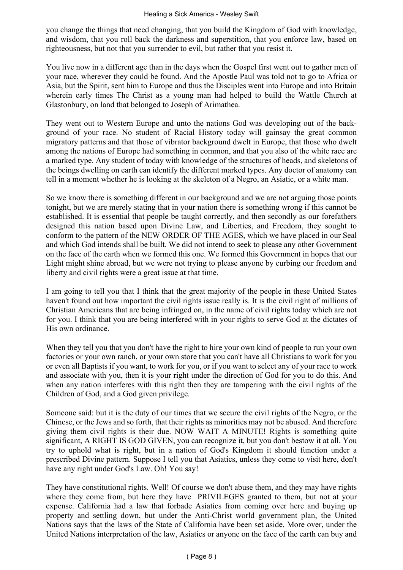you change the things that need changing, that you build the Kingdom of God with knowledge, and wisdom, that you roll back the darkness and superstition, that you enforce law, based on righteousness, but not that you surrender to evil, but rather that you resist it.

You live now in a different age than in the days when the Gospel first went out to gather men of your race, wherever they could be found. And the Apostle Paul was told not to go to Africa or Asia, but the Spirit, sent him to Europe and thus the Disciples went into Europe and into Britain wherein early times The Christ as a young man had helped to build the Wattle Church at Glastonbury, on land that belonged to Joseph of Arimathea.

They went out to Western Europe and unto the nations God was developing out of the background of your race. No student of Racial History today will gainsay the great common migratory patterns and that those of vibrator background dwelt in Europe, that those who dwelt among the nations of Europe had something in common, and that you also of the white race are a marked type. Any student of today with knowledge of the structures of heads, and skeletons of the beings dwelling on earth can identify the different marked types. Any doctor of anatomy can tell in a moment whether he is looking at the skeleton of a Negro, an Asiatic, or a white man.

So we know there is something different in our background and we are not arguing those points tonight, but we are merely stating that in your nation there is something wrong if this cannot be established. It is essential that people be taught correctly, and then secondly as our forefathers designed this nation based upon Divine Law, and Liberties, and Freedom, they sought to conform to the pattern of the NEW ORDER OF THE AGES, which we have placed in our Seal and which God intends shall be built. We did not intend to seek to please any other Government on the face of the earth when we formed this one. We formed this Government in hopes that our Light might shine abroad, but we were not trying to please anyone by curbing our freedom and liberty and civil rights were a great issue at that time.

I am going to tell you that I think that the great majority of the people in these United States haven't found out how important the civil rights issue really is. It is the civil right of millions of Christian Americans that are being infringed on, in the name of civil rights today which are not for you. I think that you are being interfered with in your rights to serve God at the dictates of His own ordinance.

When they tell you that you don't have the right to hire your own kind of people to run your own factories or your own ranch, or your own store that you can't have all Christians to work for you or even all Baptists if you want, to work for you, or if you want to select any of your race to work and associate with you, then it is your right under the direction of God for you to do this. And when any nation interferes with this right then they are tampering with the civil rights of the Children of God, and a God given privilege.

Someone said: but it is the duty of our times that we secure the civil rights of the Negro, or the Chinese, or the Jews and so forth, that their rights as minorities may not be abused. And therefore giving them civil rights is their due. NOW WAIT A MINUTE! Rights is something quite significant, A RIGHT IS GOD GIVEN, you can recognize it, but you don't bestow it at all. You try to uphold what is right, but in a nation of God's Kingdom it should function under a prescribed Divine pattern. Suppose I tell you that Asiatics, unless they come to visit here, don't have any right under God's Law. Oh! You say!

They have constitutional rights. Well! Of course we don't abuse them, and they may have rights where they come from, but here they have PRIVILEGES granted to them, but not at your expense. California had a law that forbade Asiatics from coming over here and buying up property and settling down, but under the Anti-Christ world government plan, the United Nations says that the laws of the State of California have been set aside. More over, under the United Nations interpretation of the law, Asiatics or anyone on the face of the earth can buy and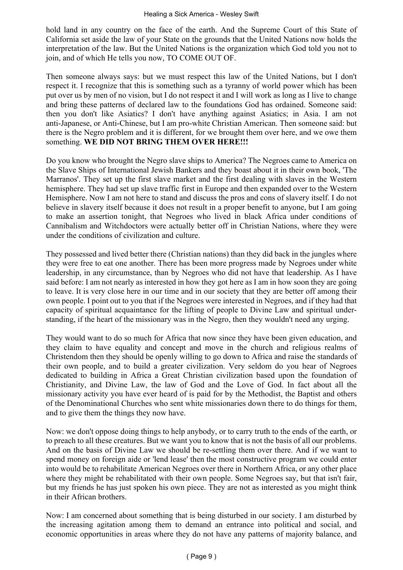hold land in any country on the face of the earth. And the Supreme Court of this State of California set aside the law of your State on the grounds that the United Nations now holds the interpretation of the law. But the United Nations is the organization which God told you not to join, and of which He tells you now, TO COME OUT OF.

Then someone always says: but we must respect this law of the United Nations, but I don't respect it. I recognize that this is something such as a tyranny of world power which has been put over us by men of no vision, but I do not respect it and I will work as long as I live to change and bring these patterns of declared law to the foundations God has ordained. Someone said: then you don't like Asiatics? I don't have anything against Asiatics; in Asia. I am not anti‑Japanese, or Anti‑Chinese, but I am pro‑white Christian American. Then someone said: but there is the Negro problem and it is different, for we brought them over here, and we owe them something. **WE DID NOT BRING THEM OVER HERE!!!**

Do you know who brought the Negro slave ships to America? The Negroes came to America on the Slave Ships of International Jewish Bankers and they boast about it in their own book, 'The Marranos'. They set up the first slave market and the first dealing with slaves in the Western hemisphere. They had set up slave traffic first in Europe and then expanded over to the Western Hemisphere. Now I am not here to stand and discuss the pros and cons of slavery itself. I do not believe in slavery itself because it does not result in a proper benefit to anyone, but I am going to make an assertion tonight, that Negroes who lived in black Africa under conditions of Cannibalism and Witchdoctors were actually better off in Christian Nations, where they were under the conditions of civilization and culture.

They possessed and lived better there (Christian nations) than they did back in the jungles where they were free to eat one another. There has been more progress made by Negroes under white leadership, in any circumstance, than by Negroes who did not have that leadership. As I have said before: I am not nearly as interested in how they got here as I am in how soon they are going to leave. It is very close here in our time and in our society that they are better off among their own people. I point out to you that if the Negroes were interested in Negroes, and if they had that capacity of spiritual acquaintance for the lifting of people to Divine Law and spiritual understanding, if the heart of the missionary was in the Negro, then they wouldn't need any urging.

They would want to do so much for Africa that now since they have been given education, and they claim to have equality and concept and move in the church and religious realms of Christendom then they should be openly willing to go down to Africa and raise the standards of their own people, and to build a greater civilization. Very seldom do you hear of Negroes dedicated to building in Africa a Great Christian civilization based upon the foundation of Christianity, and Divine Law, the law of God and the Love of God. In fact about all the missionary activity you have ever heard of is paid for by the Methodist, the Baptist and others of the Denominational Churches who sent white missionaries down there to do things for them, and to give them the things they now have.

Now: we don't oppose doing things to help anybody, or to carry truth to the ends of the earth, or to preach to all these creatures. But we want you to know that is not the basis of all our problems. And on the basis of Divine Law we should be re‑settling them over there. And if we want to spend money on foreign aide or 'lend lease' then the most constructive program we could enter into would be to rehabilitate American Negroes over there in Northern Africa, or any other place where they might be rehabilitated with their own people. Some Negroes say, but that isn't fair, but my friends he has just spoken his own piece. They are not as interested as you might think in their African brothers.

Now: I am concerned about something that is being disturbed in our society. I am disturbed by the increasing agitation among them to demand an entrance into political and social, and economic opportunities in areas where they do not have any patterns of majority balance, and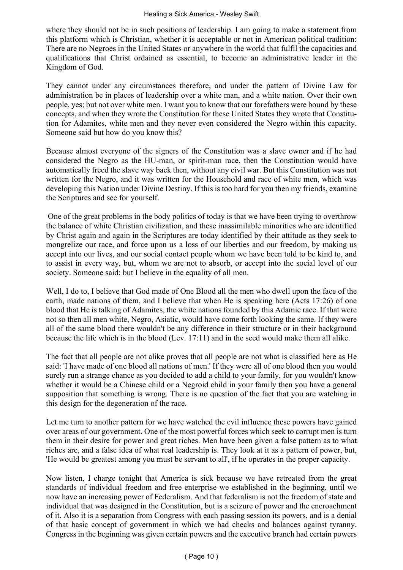where they should not be in such positions of leadership. I am going to make a statement from this platform which is Christian, whether it is acceptable or not in American political tradition: There are no Negroes in the United States or anywhere in the world that fulfil the capacities and qualifications that Christ ordained as essential, to become an administrative leader in the Kingdom of God.

They cannot under any circumstances therefore, and under the pattern of Divine Law for administration be in places of leadership over a white man, and a white nation. Over their own people, yes; but not over white men. I want you to know that our forefathers were bound by these concepts, and when they wrote the Constitution for these United States they wrote that Constitution for Adamites, white men and they never even considered the Negro within this capacity. Someone said but how do you know this?

Because almost everyone of the signers of the Constitution was a slave owner and if he had considered the Negro as the HU‑man, or spirit‑man race, then the Constitution would have automatically freed the slave way back then, without any civil war. But this Constitution was not written for the Negro, and it was written for the Household and race of white men, which was developing this Nation under Divine Destiny. If this is too hard for you then my friends, examine the Scriptures and see for yourself.

 One of the great problems in the body politics of today is that we have been trying to overthrow the balance of white Christian civilization, and these inassimilable minorities who are identified by Christ again and again in the Scriptures are today identified by their attitude as they seek to mongrelize our race, and force upon us a loss of our liberties and our freedom, by making us accept into our lives, and our social contact people whom we have been told to be kind to, and to assist in every way, but, whom we are not to absorb, or accept into the social level of our society. Someone said: but I believe in the equality of all men.

Well, I do to, I believe that God made of One Blood all the men who dwell upon the face of the earth, made nations of them, and I believe that when He is speaking here (Acts 17:26) of one blood that He is talking of Adamites, the white nations founded by this Adamic race. If that were not so then all men white, Negro, Asiatic, would have come forth looking the same. If they were all of the same blood there wouldn't be any difference in their structure or in their background because the life which is in the blood (Lev. 17:11) and in the seed would make them all alike.

The fact that all people are not alike proves that all people are not what is classified here as He said: 'I have made of one blood all nations of men.' If they were all of one blood then you would surely run a strange chance as you decided to add a child to your family, for you wouldn't know whether it would be a Chinese child or a Negroid child in your family then you have a general supposition that something is wrong. There is no question of the fact that you are watching in this design for the degeneration of the race.

Let me turn to another pattern for we have watched the evil influence these powers have gained over areas of our government. One of the most powerful forces which seek to corrupt men is turn them in their desire for power and great riches. Men have been given a false pattern as to what riches are, and a false idea of what real leadership is. They look at it as a pattern of power, but, 'He would be greatest among you must be servant to all', if he operates in the proper capacity.

Now listen, I charge tonight that America is sick because we have retreated from the great standards of individual freedom and free enterprise we established in the beginning, until we now have an increasing power of Federalism. And that federalism is not the freedom of state and individual that was designed in the Constitution, but is a seizure of power and the encroachment of it. Also it is a separation from Congress with each passing session its powers, and is a denial of that basic concept of government in which we had checks and balances against tyranny. Congress in the beginning was given certain powers and the executive branch had certain powers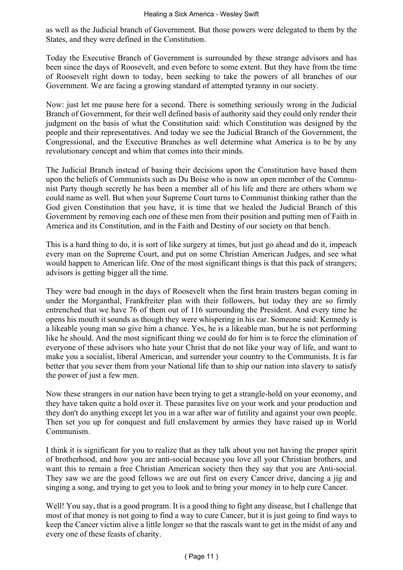as well as the Judicial branch of Government. But those powers were delegated to them by the States, and they were defined in the Constitution.

Today the Executive Branch of Government is surrounded by these strange advisors and has been since the days of Roosevelt, and even before to some extent. But they have from the time of Roosevelt right down to today, been seeking to take the powers of all branches of our Government. We are facing a growing standard of attempted tyranny in our society.

Now: just let me pause here for a second. There is something seriously wrong in the Judicial Branch of Government, for their well defined basis of authority said they could only render their judgment on the basis of what the Constitution said: which Constitution was designed by the people and their representatives. And today we see the Judicial Branch of the Government, the Congressional, and the Executive Branches as well determine what America is to be by any revolutionary concept and whim that comes into their minds.

The Judicial Branch instead of basing their decisions upon the Constitution have based them upon the beliefs of Communists such as Du Boise who is now an open member of the Communist Party though secretly he has been a member all of his life and there are others whom we could name as well. But when your Supreme Court turns to Communist thinking rather than the God given Constitution that you have, it is time that we healed the Judicial Branch of this Government by removing each one of these men from their position and putting men of Faith in America and its Constitution, and in the Faith and Destiny of our society on that bench.

This is a hard thing to do, it is sort of like surgery at times, but just go ahead and do it, impeach every man on the Supreme Court, and put on some Christian American Judges, and see what would happen to American life. One of the most significant things is that this pack of strangers; advisors is getting bigger all the time.

They were bad enough in the days of Roosevelt when the first brain trusters began coming in under the Morganthal, Frankfreiter plan with their followers, but today they are so firmly entrenched that we have 76 of them out of 116 surrounding the President. And every time he opens his mouth it sounds as though they were whispering in his ear. Someone said: Kennedy is a likeable young man so give him a chance. Yes, he is a likeable man, but he is not performing like he should. And the most significant thing we could do for him is to force the elimination of everyone of these advisors who hate your Christ that do not like your way of life, and want to make you a socialist, liberal American, and surrender your country to the Communists. It is far better that you sever them from your National life than to ship our nation into slavery to satisfy the power of just a few men.

Now these strangers in our nation have been trying to get a strangle-hold on your economy, and they have taken quite a hold over it. These parasites live on your work and your production and they don't do anything except let you in a war after war of futility and against your own people. Then set you up for conquest and full enslavement by armies they have raised up in World Communism.

I think it is significant for you to realize that as they talk about you not having the proper spirit of brotherhood, and how you are anti‑social because you love all your Christian brothers, and want this to remain a free Christian American society then they say that you are Anti-social. They saw we are the good fellows we are out first on every Cancer drive, dancing a jig and singing a song, and trying to get you to look and to bring your money in to help cure Cancer.

Well! You say, that is a good program. It is a good thing to fight any disease, but I challenge that most of that money is not going to find a way to cure Cancer, but it is just going to find ways to keep the Cancer victim alive a little longer so that the rascals want to get in the midst of any and every one of these feasts of charity.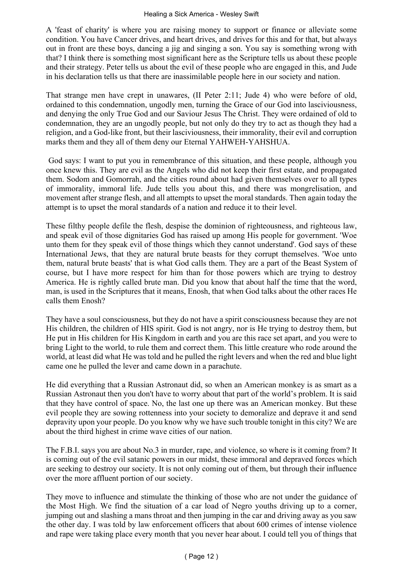A 'feast of charity' is where you are raising money to support or finance or alleviate some condition. You have Cancer drives, and heart drives, and drives for this and for that, but always out in front are these boys, dancing a jig and singing a son. You say is something wrong with that? I think there is something most significant here as the Scripture tells us about these people and their strategy. Peter tells us about the evil of these people who are engaged in this, and Jude in his declaration tells us that there are inassimilable people here in our society and nation.

That strange men have crept in unawares, (II Peter 2:11; Jude 4) who were before of old, ordained to this condemnation, ungodly men, turning the Grace of our God into lasciviousness, and denying the only True God and our Saviour Jesus The Christ. They were ordained of old to condemnation, they are an ungodly people, but not only do they try to act as though they had a religion, and a God-like front, but their lasciviousness, their immorality, their evil and corruption marks them and they all of them deny our Eternal YAHWEH‑YAHSHUA.

 God says: I want to put you in remembrance of this situation, and these people, although you once knew this. They are evil as the Angels who did not keep their first estate, and propagated them. Sodom and Gomorrah, and the cities round about had given themselves over to all types of immorality, immoral life. Jude tells you about this, and there was mongrelisation, and movement after strange flesh, and all attempts to upset the moral standards. Then again today the attempt is to upset the moral standards of a nation and reduce it to their level.

These filthy people defile the flesh, despise the dominion of righteousness, and righteous law, and speak evil of those dignitaries God has raised up among His people for government. 'Woe unto them for they speak evil of those things which they cannot understand'. God says of these International Jews, that they are natural brute beasts for they corrupt themselves. 'Woe unto them, natural brute beasts' that is what God calls them. They are a part of the Beast System of course, but I have more respect for him than for those powers which are trying to destroy America. He is rightly called brute man. Did you know that about half the time that the word, man, is used in the Scriptures that it means, Enosh, that when God talks about the other races He calls them Enosh?

They have a soul consciousness, but they do not have a spirit consciousness because they are not His children, the children of HIS spirit. God is not angry, nor is He trying to destroy them, but He put in His children for His Kingdom in earth and you are this race set apart, and you were to bring Light to the world, to rule them and correct them. This little creature who rode around the world, at least did what He was told and he pulled the right levers and when the red and blue light came one he pulled the lever and came down in a parachute.

He did everything that a Russian Astronaut did, so when an American monkey is as smart as a Russian Astronaut then you don't have to worry about that part of the world's problem. It is said that they have control of space. No, the last one up there was an American monkey. But these evil people they are sowing rottenness into your society to demoralize and deprave it and send depravity upon your people. Do you know why we have such trouble tonight in this city? We are about the third highest in crime wave cities of our nation.

The F.B.I. says you are about No.3 in murder, rape, and violence, so where is it coming from? It is coming out of the evil satanic powers in our midst, these immoral and depraved forces which are seeking to destroy our society. It is not only coming out of them, but through their influence over the more affluent portion of our society.

They move to influence and stimulate the thinking of those who are not under the guidance of the Most High. We find the situation of a car load of Negro youths driving up to a corner, jumping out and slashing a mans throat and then jumping in the car and driving away as you saw the other day. I was told by law enforcement officers that about 600 crimes of intense violence and rape were taking place every month that you never hear about. I could tell you of things that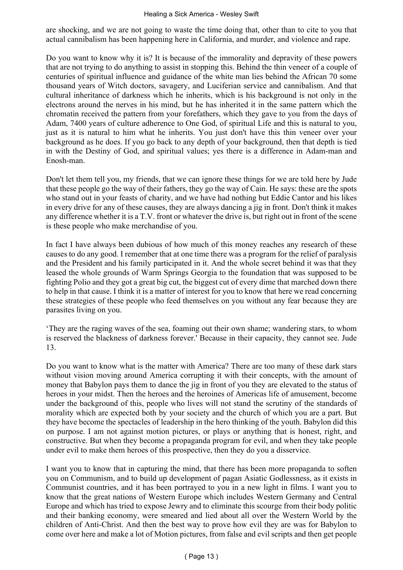are shocking, and we are not going to waste the time doing that, other than to cite to you that actual cannibalism has been happening here in California, and murder, and violence and rape.

Do you want to know why it is? It is because of the immorality and depravity of these powers that are not trying to do anything to assist in stopping this. Behind the thin veneer of a couple of centuries of spiritual influence and guidance of the white man lies behind the African 70 some thousand years of Witch doctors, savagery, and Luciferian service and cannibalism. And that cultural inheritance of darkness which he inherits, which is his background is not only in the electrons around the nerves in his mind, but he has inherited it in the same pattern which the chromatin received the pattern from your forefathers, which they gave to you from the days of Adam, 7400 years of culture adherence to One God, of spiritual Life and this is natural to you, just as it is natural to him what he inherits. You just don't have this thin veneer over your background as he does. If you go back to any depth of your background, then that depth is tied in with the Destiny of God, and spiritual values; yes there is a difference in Adam-man and Enosh‑man.

Don't let them tell you, my friends, that we can ignore these things for we are told here by Jude that these people go the way of their fathers, they go the way of Cain. He says: these are the spots who stand out in your feasts of charity, and we have had nothing but Eddie Cantor and his likes in every drive for any of these causes, they are always dancing a jig in front. Don't think it makes any difference whether it is a T.V. front or whatever the drive is, but right out in front of the scene is these people who make merchandise of you.

In fact I have always been dubious of how much of this money reaches any research of these causes to do any good. I remember that at one time there was a program for the relief of paralysis and the President and his family participated in it. And the whole secret behind it was that they leased the whole grounds of Warm Springs Georgia to the foundation that was supposed to be fighting Polio and they got a great big cut, the biggest cut of every dime that marched down there to help in that cause. I think it is a matter of interest for you to know that here we read concerning these strategies of these people who feed themselves on you without any fear because they are parasites living on you.

'They are the raging waves of the sea, foaming out their own shame; wandering stars, to whom is reserved the blackness of darkness forever.' Because in their capacity, they cannot see. Jude 13.

Do you want to know what is the matter with America? There are too many of these dark stars without vision moving around America corrupting it with their concepts, with the amount of money that Babylon pays them to dance the jig in front of you they are elevated to the status of heroes in your midst. Then the heroes and the heroines of Americas life of amusement, become under the background of this, people who lives will not stand the scrutiny of the standards of morality which are expected both by your society and the church of which you are a part. But they have become the spectacles of leadership in the hero thinking of the youth. Babylon did this on purpose. I am not against motion pictures, or plays or anything that is honest, right, and constructive. But when they become a propaganda program for evil, and when they take people under evil to make them heroes of this prospective, then they do you a disservice.

I want you to know that in capturing the mind, that there has been more propaganda to soften you on Communism, and to build up development of pagan Asiatic Godlessness, as it exists in Communist countries, and it has been portrayed to you in a new light in films. I want you to know that the great nations of Western Europe which includes Western Germany and Central Europe and which has tried to expose Jewry and to eliminate this scourge from their body politic and their banking economy, were smeared and lied about all over the Western World by the children of Anti-Christ. And then the best way to prove how evil they are was for Babylon to come over here and make a lot of Motion pictures, from false and evil scripts and then get people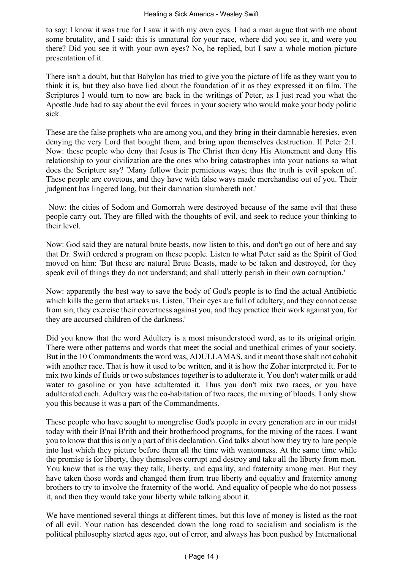to say: I know it was true for I saw it with my own eyes. I had a man argue that with me about some brutality, and I said: this is unnatural for your race, where did you see it, and were you there? Did you see it with your own eyes? No, he replied, but I saw a whole motion picture presentation of it.

There isn't a doubt, but that Babylon has tried to give you the picture of life as they want you to think it is, but they also have lied about the foundation of it as they expressed it on film. The Scriptures I would turn to now are back in the writings of Peter, as I just read you what the Apostle Jude had to say about the evil forces in your society who would make your body politic sick.

These are the false prophets who are among you, and they bring in their damnable heresies, even denying the very Lord that bought them, and bring upon themselves destruction. II Peter 2:1. Now: these people who deny that Jesus is The Christ then deny His Atonement and deny His relationship to your civilization are the ones who bring catastrophes into your nations so what does the Scripture say? 'Many follow their pernicious ways; thus the truth is evil spoken of'. These people are covetous, and they have with false ways made merchandise out of you. Their judgment has lingered long, but their damnation slumbereth not.'

 Now: the cities of Sodom and Gomorrah were destroyed because of the same evil that these people carry out. They are filled with the thoughts of evil, and seek to reduce your thinking to their level.

Now: God said they are natural brute beasts, now listen to this, and don't go out of here and say that Dr. Swift ordered a program on these people. Listen to what Peter said as the Spirit of God moved on him: 'But these are natural Brute Beasts, made to be taken and destroyed, for they speak evil of things they do not understand; and shall utterly perish in their own corruption.'

Now: apparently the best way to save the body of God's people is to find the actual Antibiotic which kills the germ that attacks us. Listen, 'Their eyes are full of adultery, and they cannot cease from sin, they exercise their covertness against you, and they practice their work against you, for they are accursed children of the darkness.'

Did you know that the word Adultery is a most misunderstood word, as to its original origin. There were other patterns and words that meet the social and unethical crimes of your society. But in the 10 Commandments the word was, ADULLAMAS, and it meant those shalt not cohabit with another race. That is how it used to be written, and it is how the Zohar interpreted it. For to mix two kinds of fluids or two substances together is to adulterate it. You don't water milk or add water to gasoline or you have adulterated it. Thus you don't mix two races, or you have adulterated each. Adultery was the co-habitation of two races, the mixing of bloods. I only show you this because it was a part of the Commandments.

These people who have sought to mongrelise God's people in every generation are in our midst today with their B'nai B'rith and their brotherhood programs, for the mixing of the races. I want you to know that this is only a part of this declaration. God talks about how they try to lure people into lust which they picture before them all the time with wantonness. At the same time while the promise is for liberty, they themselves corrupt and destroy and take all the liberty from men. You know that is the way they talk, liberty, and equality, and fraternity among men. But they have taken those words and changed them from true liberty and equality and fraternity among brothers to try to involve the fraternity of the world. And equality of people who do not possess it, and then they would take your liberty while talking about it.

We have mentioned several things at different times, but this love of money is listed as the root of all evil. Your nation has descended down the long road to socialism and socialism is the political philosophy started ages ago, out of error, and always has been pushed by International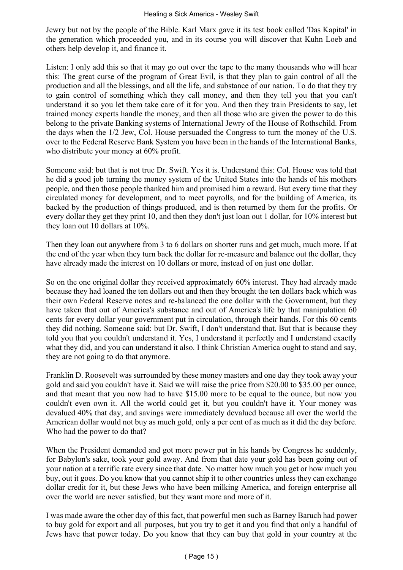Jewry but not by the people of the Bible. Karl Marx gave it its test book called 'Das Kapital' in the generation which proceeded you, and in its course you will discover that Kuhn Loeb and others help develop it, and finance it.

Listen: I only add this so that it may go out over the tape to the many thousands who will hear this: The great curse of the program of Great Evil, is that they plan to gain control of all the production and all the blessings, and all the life, and substance of our nation. To do that they try to gain control of something which they call money, and then they tell you that you can't understand it so you let them take care of it for you. And then they train Presidents to say, let trained money experts handle the money, and then all those who are given the power to do this belong to the private Banking systems of International Jewry of the House of Rothschild. From the days when the 1/2 Jew, Col. House persuaded the Congress to turn the money of the U.S. over to the Federal Reserve Bank System you have been in the hands of the International Banks, who distribute your money at 60% profit.

Someone said: but that is not true Dr. Swift. Yes it is. Understand this: Col. House was told that he did a good job turning the money system of the United States into the hands of his mothers people, and then those people thanked him and promised him a reward. But every time that they circulated money for development, and to meet payrolls, and for the building of America, its backed by the production of things produced, and is then returned by them for the profits. Or every dollar they get they print 10, and then they don't just loan out 1 dollar, for 10% interest but they loan out 10 dollars at 10%.

Then they loan out anywhere from 3 to 6 dollars on shorter runs and get much, much more. If at the end of the year when they turn back the dollar for re-measure and balance out the dollar, they have already made the interest on 10 dollars or more, instead of on just one dollar.

So on the one original dollar they received approximately 60% interest. They had already made because they had loaned the ten dollars out and then they brought the ten dollars back which was their own Federal Reserve notes and re-balanced the one dollar with the Government, but they have taken that out of America's substance and out of America's life by that manipulation 60 cents for every dollar your government put in circulation, through their hands. For this 60 cents they did nothing. Someone said: but Dr. Swift, I don't understand that. But that is because they told you that you couldn't understand it. Yes, I understand it perfectly and I understand exactly what they did, and you can understand it also. I think Christian America ought to stand and say, they are not going to do that anymore.

Franklin D. Roosevelt was surrounded by these money masters and one day they took away your gold and said you couldn't have it. Said we will raise the price from \$20.00 to \$35.00 per ounce, and that meant that you now had to have \$15.00 more to be equal to the ounce, but now you couldn't even own it. All the world could get it, but you couldn't have it. Your money was devalued 40% that day, and savings were immediately devalued because all over the world the American dollar would not buy as much gold, only a per cent of as much as it did the day before. Who had the power to do that?

When the President demanded and got more power put in his hands by Congress he suddenly, for Babylon's sake, took your gold away. And from that date your gold has been going out of your nation at a terrific rate every since that date. No matter how much you get or how much you buy, out it goes. Do you know that you cannot ship it to other countries unless they can exchange dollar credit for it, but these Jews who have been milking America, and foreign enterprise all over the world are never satisfied, but they want more and more of it.

I was made aware the other day of this fact, that powerful men such as Barney Baruch had power to buy gold for export and all purposes, but you try to get it and you find that only a handful of Jews have that power today. Do you know that they can buy that gold in your country at the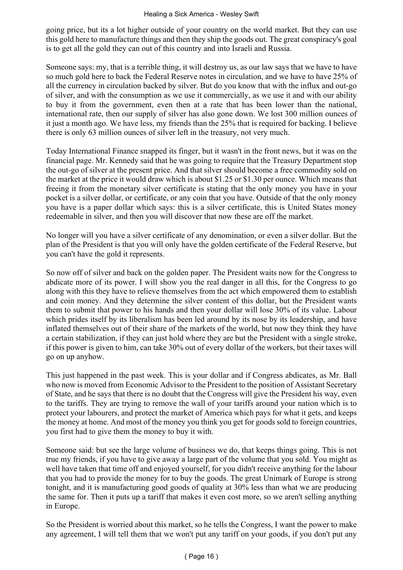going price, but its a lot higher outside of your country on the world market. But they can use this gold here to manufacture things and then they ship the goods out. The great conspiracy's goal is to get all the gold they can out of this country and into Israeli and Russia.

Someone says: my, that is a terrible thing, it will destroy us, as our law says that we have to have so much gold here to back the Federal Reserve notes in circulation, and we have to have 25% of all the currency in circulation backed by silver. But do you know that with the influx and out-go of silver, and with the consumption as we use it commercially, as we use it and with our ability to buy it from the government, even then at a rate that has been lower than the national, international rate, then our supply of silver has also gone down. We lost 300 million ounces of it just a month ago. We have less, my friends than the 25% that is required for backing. I believe there is only 63 million ounces of silver left in the treasury, not very much.

Today International Finance snapped its finger, but it wasn't in the front news, but it was on the financial page. Mr. Kennedy said that he was going to require that the Treasury Department stop the out‑go of silver at the present price. And that silver should become a free commodity sold on the market at the price it would draw which is about \$1.25 or \$1.30 per ounce. Which means that freeing it from the monetary silver certificate is stating that the only money you have in your pocket is a silver dollar, or certificate, or any coin that you have. Outside of that the only money you have is a paper dollar which says: this is a silver certificate, this is United States money redeemable in silver, and then you will discover that now these are off the market.

No longer will you have a silver certificate of any denomination, or even a silver dollar. But the plan of the President is that you will only have the golden certificate of the Federal Reserve, but you can't have the gold it represents.

So now off of silver and back on the golden paper. The President waits now for the Congress to abdicate more of its power. I will show you the real danger in all this, for the Congress to go along with this they have to relieve themselves from the act which empowered them to establish and coin money. And they determine the silver content of this dollar, but the President wants them to submit that power to his hands and then your dollar will lose 30% of its value. Labour which prides itself by its liberalism has been led around by its nose by its leadership, and have inflated themselves out of their share of the markets of the world, but now they think they have a certain stabilization, if they can just hold where they are but the President with a single stroke, if this power is given to him, can take 30% out of every dollar of the workers, but their taxes will go on up anyhow.

This just happened in the past week. This is your dollar and if Congress abdicates, as Mr. Ball who now is moved from Economic Advisor to the President to the position of Assistant Secretary of State, and he says that there is no doubt that the Congress will give the President his way, even to the tariffs. They are trying to remove the wall of your tariffs around your nation which is to protect your labourers, and protect the market of America which pays for what it gets, and keeps the money at home. And most of the money you think you get for goods sold to foreign countries, you first had to give them the money to buy it with.

Someone said: but see the large volume of business we do, that keeps things going. This is not true my friends, if you have to give away a large part of the volume that you sold. You might as well have taken that time off and enjoyed yourself, for you didn't receive anything for the labour that you had to provide the money for to buy the goods. The great Unimark of Europe is strong tonight, and it is manufacturing good goods of quality at 30% less than what we are producing the same for. Then it puts up a tariff that makes it even cost more, so we aren't selling anything in Europe.

So the President is worried about this market, so he tells the Congress, I want the power to make any agreement, I will tell them that we won't put any tariff on your goods, if you don't put any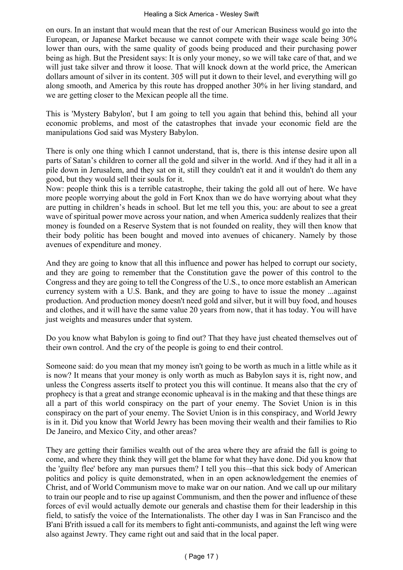on ours. In an instant that would mean that the rest of our American Business would go into the European, or Japanese Market because we cannot compete with their wage scale being 30% lower than ours, with the same quality of goods being produced and their purchasing power being as high. But the President says: It is only your money, so we will take care of that, and we will just take silver and throw it loose. That will knock down at the world price, the American dollars amount of silver in its content. 305 will put it down to their level, and everything will go along smooth, and America by this route has dropped another 30% in her living standard, and we are getting closer to the Mexican people all the time.

This is 'Mystery Babylon', but I am going to tell you again that behind this, behind all your economic problems, and most of the catastrophes that invade your economic field are the manipulations God said was Mystery Babylon.

There is only one thing which I cannot understand, that is, there is this intense desire upon all parts of Satan's children to corner all the gold and silver in the world. And if they had it all in a pile down in Jerusalem, and they sat on it, still they couldn't eat it and it wouldn't do them any good, but they would sell their souls for it.

Now: people think this is a terrible catastrophe, their taking the gold all out of here. We have more people worrying about the gold in Fort Knox than we do have worrying about what they are putting in children's heads in school. But let me tell you this, you: are about to see a great wave of spiritual power move across your nation, and when America suddenly realizes that their money is founded on a Reserve System that is not founded on reality, they will then know that their body politic has been bought and moved into avenues of chicanery. Namely by those avenues of expenditure and money.

And they are going to know that all this influence and power has helped to corrupt our society, and they are going to remember that the Constitution gave the power of this control to the Congress and they are going to tell the Congress of the U.S., to once more establish an American currency system with a U.S. Bank, and they are going to have to issue the money ...against production. And production money doesn't need gold and silver, but it will buy food, and houses and clothes, and it will have the same value 20 years from now, that it has today. You will have just weights and measures under that system.

Do you know what Babylon is going to find out? That they have just cheated themselves out of their own control. And the cry of the people is going to end their control.

Someone said: do you mean that my money isn't going to be worth as much in a little while as it is now? It means that your money is only worth as much as Babylon says it is, right now, and unless the Congress asserts itself to protect you this will continue. It means also that the cry of prophecy is that a great and strange economic upheaval is in the making and that these things are all a part of this world conspiracy on the part of your enemy. The Soviet Union is in this conspiracy on the part of your enemy. The Soviet Union is in this conspiracy, and World Jewry is in it. Did you know that World Jewry has been moving their wealth and their families to Rio De Janeiro, and Mexico City, and other areas?

They are getting their families wealth out of the area where they are afraid the fall is going to come, and where they think they will get the blame for what they have done. Did you know that the 'guilty flee' before any man pursues them? I tell you this–-that this sick body of American politics and policy is quite demonstrated, when in an open acknowledgement the enemies of Christ, and of World Communism move to make war on our nation. And we call up our military to train our people and to rise up against Communism, and then the power and influence of these forces of evil would actually demote our generals and chastise them for their leadership in this field, to satisfy the voice of the Internationalists. The other day I was in San Francisco and the B'ani B'rith issued a call for its members to fight anti‑communists, and against the left wing were also against Jewry. They came right out and said that in the local paper.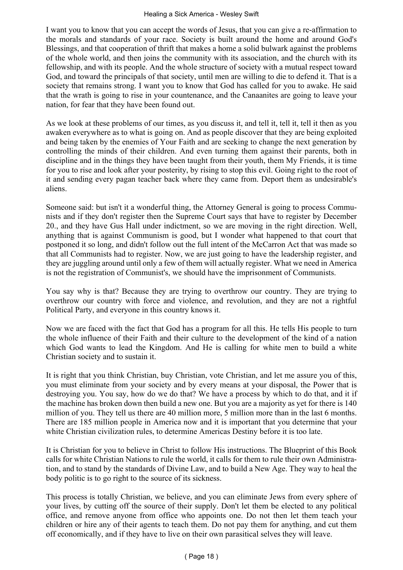I want you to know that you can accept the words of Jesus, that you can give a re‑affirmation to the morals and standards of your race. Society is built around the home and around God's Blessings, and that cooperation of thrift that makes a home a solid bulwark against the problems of the whole world, and then joins the community with its association, and the church with its fellowship, and with its people. And the whole structure of society with a mutual respect toward God, and toward the principals of that society, until men are willing to die to defend it. That is a society that remains strong. I want you to know that God has called for you to awake. He said that the wrath is going to rise in your countenance, and the Canaanites are going to leave your nation, for fear that they have been found out.

As we look at these problems of our times, as you discuss it, and tell it, tell it, tell it then as you awaken everywhere as to what is going on. And as people discover that they are being exploited and being taken by the enemies of Your Faith and are seeking to change the next generation by controlling the minds of their children. And even turning them against their parents, both in discipline and in the things they have been taught from their youth, them My Friends, it is time for you to rise and look after your posterity, by rising to stop this evil. Going right to the root of it and sending every pagan teacher back where they came from. Deport them as undesirable's aliens.

Someone said: but isn't it a wonderful thing, the Attorney General is going to process Communists and if they don't register then the Supreme Court says that have to register by December 20., and they have Gus Hall under indictment, so we are moving in the right direction. Well, anything that is against Communism is good, but I wonder what happened to that court that postponed it so long, and didn't follow out the full intent of the McCarron Act that was made so that all Communists had to register. Now, we are just going to have the leadership register, and they are juggling around until only a few of them will actually register. What we need in America is not the registration of Communist's, we should have the imprisonment of Communists.

You say why is that? Because they are trying to overthrow our country. They are trying to overthrow our country with force and violence, and revolution, and they are not a rightful Political Party, and everyone in this country knows it.

Now we are faced with the fact that God has a program for all this. He tells His people to turn the whole influence of their Faith and their culture to the development of the kind of a nation which God wants to lead the Kingdom. And He is calling for white men to build a white Christian society and to sustain it.

It is right that you think Christian, buy Christian, vote Christian, and let me assure you of this, you must eliminate from your society and by every means at your disposal, the Power that is destroying you. You say, how do we do that? We have a process by which to do that, and it if the machine has broken down then build a new one. But you are a majority as yet for there is 140 million of you. They tell us there are 40 million more, 5 million more than in the last 6 months. There are 185 million people in America now and it is important that you determine that your white Christian civilization rules, to determine Americas Destiny before it is too late.

It is Christian for you to believe in Christ to follow His instructions. The Blueprint of this Book calls for white Christian Nations to rule the world, it calls for them to rule their own Administration, and to stand by the standards of Divine Law, and to build a New Age. They way to heal the body politic is to go right to the source of its sickness.

This process is totally Christian, we believe, and you can eliminate Jews from every sphere of your lives, by cutting off the source of their supply. Don't let them be elected to any political office, and remove anyone from office who appoints one. Do not then let them teach your children or hire any of their agents to teach them. Do not pay them for anything, and cut them off economically, and if they have to live on their own parasitical selves they will leave.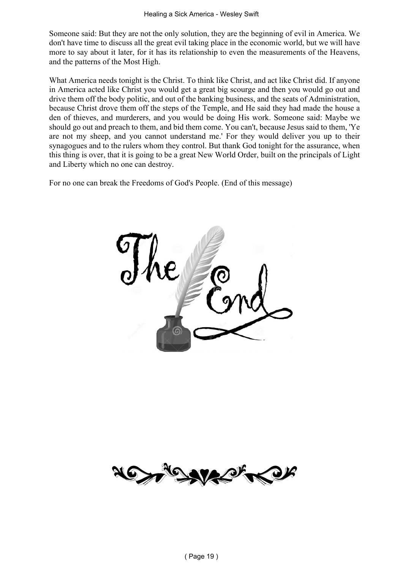Someone said: But they are not the only solution, they are the beginning of evil in America. We don't have time to discuss all the great evil taking place in the economic world, but we will have more to say about it later, for it has its relationship to even the measurements of the Heavens, and the patterns of the Most High.

What America needs tonight is the Christ. To think like Christ, and act like Christ did. If anyone in America acted like Christ you would get a great big scourge and then you would go out and drive them off the body politic, and out of the banking business, and the seats of Administration, because Christ drove them off the steps of the Temple, and He said they had made the house a den of thieves, and murderers, and you would be doing His work. Someone said: Maybe we should go out and preach to them, and bid them come. You can't, because Jesus said to them, 'Ye are not my sheep, and you cannot understand me.' For they would deliver you up to their synagogues and to the rulers whom they control. But thank God tonight for the assurance, when this thing is over, that it is going to be a great New World Order, built on the principals of Light and Liberty which no one can destroy.

For no one can break the Freedoms of God's People. (End of this message)